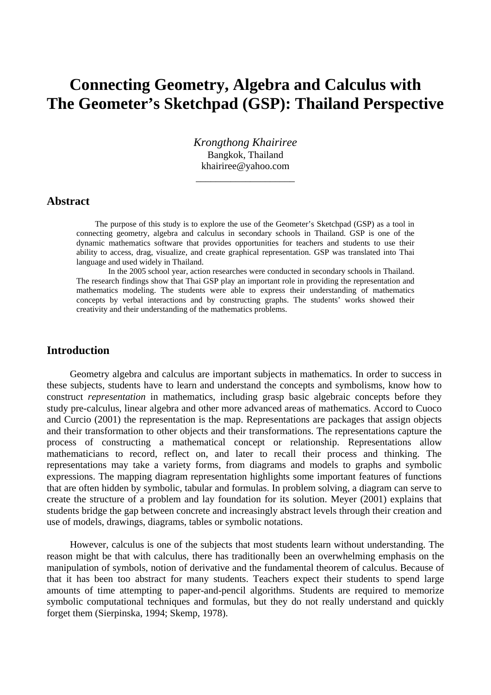# **Connecting Geometry, Algebra and Calculus with The Geometer's Sketchpad (GSP): Thailand Perspective**

*Krongthong Khairiree*  Bangkok, Thailand khairiree@yahoo.com

\_\_\_\_\_\_\_\_\_\_\_\_\_\_\_\_\_\_\_\_

#### **Abstract**

The purpose of this study is to explore the use of the Geometer's Sketchpad (GSP) as a tool in connecting geometry, algebra and calculus in secondary schools in Thailand. GSP is one of the dynamic mathematics software that provides opportunities for teachers and students to use their ability to access, drag, visualize, and create graphical representation. GSP was translated into Thai language and used widely in Thailand.

 In the 2005 school year, action researches were conducted in secondary schools in Thailand. The research findings show that Thai GSP play an important role in providing the representation and mathematics modeling. The students were able to express their understanding of mathematics concepts by verbal interactions and by constructing graphs. The students' works showed their creativity and their understanding of the mathematics problems.

# **Introduction**

Geometry algebra and calculus are important subjects in mathematics. In order to success in these subjects, students have to learn and understand the concepts and symbolisms, know how to construct *representation* in mathematics, including grasp basic algebraic concepts before they study pre-calculus, linear algebra and other more advanced areas of mathematics. Accord to Cuoco and Curcio (2001) the representation is the map. Representations are packages that assign objects and their transformation to other objects and their transformations. The representations capture the process of constructing a mathematical concept or relationship. Representations allow mathematicians to record, reflect on, and later to recall their process and thinking. The representations may take a variety forms, from diagrams and models to graphs and symbolic expressions. The mapping diagram representation highlights some important features of functions that are often hidden by symbolic, tabular and formulas. In problem solving, a diagram can serve to create the structure of a problem and lay foundation for its solution. Meyer (2001) explains that students bridge the gap between concrete and increasingly abstract levels through their creation and use of models, drawings, diagrams, tables or symbolic notations.

However, calculus is one of the subjects that most students learn without understanding. The reason might be that with calculus, there has traditionally been an overwhelming emphasis on the manipulation of symbols, notion of derivative and the fundamental theorem of calculus. Because of that it has been too abstract for many students. Teachers expect their students to spend large amounts of time attempting to paper-and-pencil algorithms. Students are required to memorize symbolic computational techniques and formulas, but they do not really understand and quickly forget them (Sierpinska, 1994; Skemp, 1978).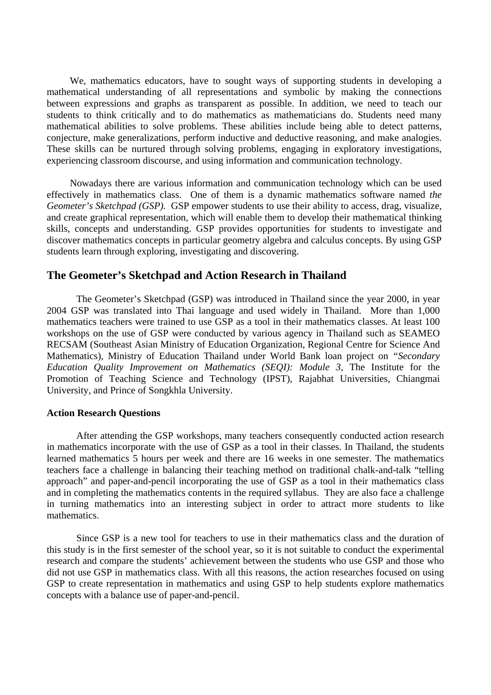We, mathematics educators, have to sought ways of supporting students in developing a mathematical understanding of all representations and symbolic by making the connections between expressions and graphs as transparent as possible. In addition, we need to teach our students to think critically and to do mathematics as mathematicians do. Students need many mathematical abilities to solve problems. These abilities include being able to detect patterns, conjecture, make generalizations, perform inductive and deductive reasoning, and make analogies. These skills can be nurtured through solving problems, engaging in exploratory investigations, experiencing classroom discourse, and using information and communication technology.

Nowadays there are various information and communication technology which can be used effectively in mathematics class. One of them is a dynamic mathematics software named *the Geometer's Sketchpad (GSP).* GSP empower students to use their ability to access, drag, visualize, and create graphical representation, which will enable them to develop their mathematical thinking skills, concepts and understanding. GSP provides opportunities for students to investigate and discover mathematics concepts in particular geometry algebra and calculus concepts. By using GSP students learn through exploring, investigating and discovering.

# **The Geometer's Sketchpad and Action Research in Thailand**

The Geometer's Sketchpad (GSP) was introduced in Thailand since the year 2000, in year 2004 GSP was translated into Thai language and used widely in Thailand. More than 1,000 mathematics teachers were trained to use GSP as a tool in their mathematics classes. At least 100 workshops on the use of GSP were conducted by various agency in Thailand such as SEAMEO RECSAM (Southeast Asian Ministry of Education Organization, Regional Centre for Science And Mathematics), Ministry of Education Thailand under World Bank loan project on *"Secondary Education Quality Improvement on Mathematics (SEQI): Module 3,* The Institute for the Promotion of Teaching Science and Technology (IPST), Rajabhat Universities, Chiangmai University, and Prince of Songkhla University.

#### **Action Research Questions**

After attending the GSP workshops, many teachers consequently conducted action research in mathematics incorporate with the use of GSP as a tool in their classes. In Thailand, the students learned mathematics 5 hours per week and there are 16 weeks in one semester. The mathematics teachers face a challenge in balancing their teaching method on traditional chalk-and-talk "telling approach" and paper-and-pencil incorporating the use of GSP as a tool in their mathematics class and in completing the mathematics contents in the required syllabus. They are also face a challenge in turning mathematics into an interesting subject in order to attract more students to like mathematics.

Since GSP is a new tool for teachers to use in their mathematics class and the duration of this study is in the first semester of the school year, so it is not suitable to conduct the experimental research and compare the students' achievement between the students who use GSP and those who did not use GSP in mathematics class. With all this reasons, the action researches focused on using GSP to create representation in mathematics and using GSP to help students explore mathematics concepts with a balance use of paper-and-pencil.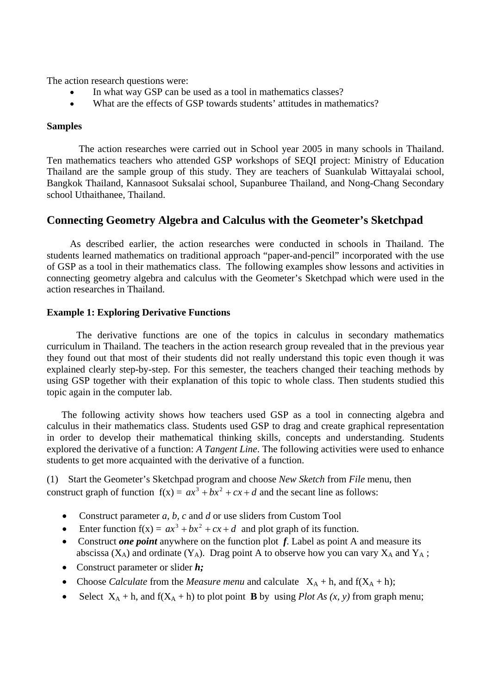The action research questions were:

- In what way GSP can be used as a tool in mathematics classes?
- What are the effects of GSP towards students' attitudes in mathematics?

## **Samples**

 The action researches were carried out in School year 2005 in many schools in Thailand. Ten mathematics teachers who attended GSP workshops of SEQI project: Ministry of Education Thailand are the sample group of this study. They are teachers of Suankulab Wittayalai school, Bangkok Thailand, Kannasoot Suksalai school, Supanburee Thailand, and Nong-Chang Secondary school Uthaithanee, Thailand.

# **Connecting Geometry Algebra and Calculus with the Geometer's Sketchpad**

As described earlier, the action researches were conducted in schools in Thailand. The students learned mathematics on traditional approach "paper-and-pencil" incorporated with the use of GSP as a tool in their mathematics class. The following examples show lessons and activities in connecting geometry algebra and calculus with the Geometer's Sketchpad which were used in the action researches in Thailand.

## **Example 1: Exploring Derivative Functions**

The derivative functions are one of the topics in calculus in secondary mathematics curriculum in Thailand. The teachers in the action research group revealed that in the previous year they found out that most of their students did not really understand this topic even though it was explained clearly step-by-step. For this semester, the teachers changed their teaching methods by using GSP together with their explanation of this topic to whole class. Then students studied this topic again in the computer lab.

The following activity shows how teachers used GSP as a tool in connecting algebra and calculus in their mathematics class. Students used GSP to drag and create graphical representation in order to develop their mathematical thinking skills, concepts and understanding. Students explored the derivative of a function: *A Tangent Line*. The following activities were used to enhance students to get more acquainted with the derivative of a function.

(1) Start the Geometer's Sketchpad program and choose *New Sketch* from *File* menu, then construct graph of function  $f(x) = ax^3 + bx^2 + cx + d$  and the secant line as follows:

- Construct parameter *a, b, c* and *d* or use sliders from Custom Tool
- Enter function  $f(x) = ax^3 + bx^2 + cx + d$  and plot graph of its function.
- Construct *one point* anywhere on the function plot *f*. Label as point A and measure its abscissa ( $X_A$ ) and ordinate ( $Y_A$ ). Drag point A to observe how you can vary  $X_A$  and  $Y_A$ ;
- Construct parameter or slider *h;*
- Choose *Calculate* from the *Measure menu* and calculate  $X_A + h$ , and  $f(X_A + h)$ ;
- Select  $X_A + h$ , and  $f(X_A + h)$  to plot point **B** by using *Plot As (x, y)* from graph menu;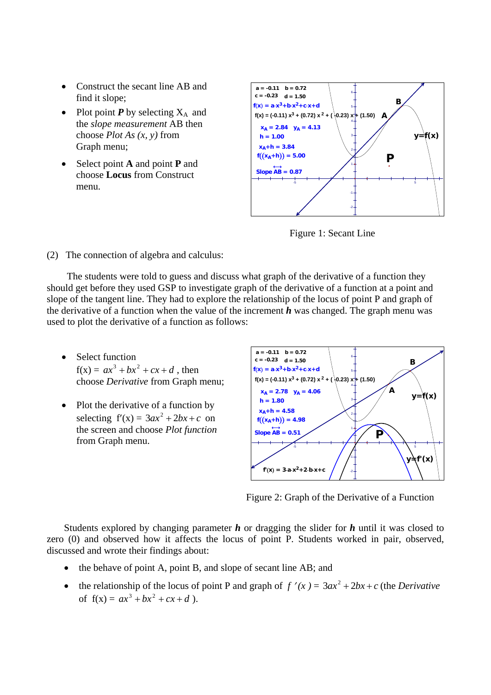- Construct the secant line AB and find it slope;
- Plot point  $P$  by selecting  $X_A$  and the *slope measurement* AB then choose *Plot As (x, y)* from Graph menu;
- Select point **A** and point **P** and choose **Locus** from Construct menu.



Figure 1: Secant Line

(2) The connection of algebra and calculus:

The students were told to guess and discuss what graph of the derivative of a function they should get before they used GSP to investigate graph of the derivative of a function at a point and slope of the tangent line. They had to explore the relationship of the locus of point P and graph of the derivative of a function when the value of the increment *h* was changed. The graph menu was used to plot the derivative of a function as follows:

- Select function  $f(x) = ax^{3} + bx^{2} + cx + d$ , then choose *Derivative* from Graph menu;
- Plot the derivative of a function by selecting  $f'(x) = 3ax^2 + 2bx + c$  on the screen and choose *Plot function* from Graph menu.



Figure 2: Graph of the Derivative of a Function

Students explored by changing parameter *h* or dragging the slider for *h* until it was closed to zero (0) and observed how it affects the locus of point P. Students worked in pair, observed, discussed and wrote their findings about:

- the behave of point A, point B, and slope of secant line AB; and
- the relationship of the locus of point P and graph of  $f'(x) = 3ax^2 + 2bx + c$  (the *Derivative* of  $f(x) = ax^3 + bx^2 + cx + d$ .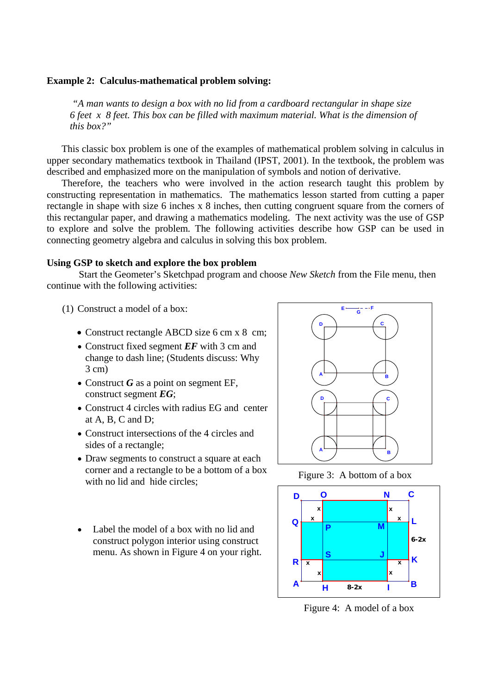#### **Example 2: Calculus-mathematical problem solving:**

*"A man wants to design a box with no lid from a cardboard rectangular in shape size 6 feet x 8 feet. This box can be filled with maximum material. What is the dimension of this box?"* 

This classic box problem is one of the examples of mathematical problem solving in calculus in upper secondary mathematics textbook in Thailand (IPST, 2001). In the textbook, the problem was described and emphasized more on the manipulation of symbols and notion of derivative.

Therefore, the teachers who were involved in the action research taught this problem by constructing representation in mathematics. The mathematics lesson started from cutting a paper rectangle in shape with size 6 inches x 8 inches, then cutting congruent square from the corners of this rectangular paper, and drawing a mathematics modeling. The next activity was the use of GSP to explore and solve the problem. The following activities describe how GSP can be used in connecting geometry algebra and calculus in solving this box problem.

#### **Using GSP to sketch and explore the box problem**

 Start the Geometer's Sketchpad program and choose *New Sketch* from the File menu, then continue with the following activities:

- (1) Construct a model of a box:
	- Construct rectangle ABCD size 6 cm x 8 cm;
	- Construct fixed segment *EF* with 3 cm and change to dash line; (Students discuss: Why 3 cm)
	- Construct *G* as a point on segment EF, construct segment *EG*;
	- Construct 4 circles with radius EG and center at A, B, C and D;
	- Construct intersections of the 4 circles and sides of a rectangle;
	- Draw segments to construct a square at each corner and a rectangle to be a bottom of a box with no lid and hide circles;
	- Label the model of a box with no lid and construct polygon interior using construct menu. As shown in Figure 4 on your right.



Figure 3: A bottom of a box



Figure 4: A model of a box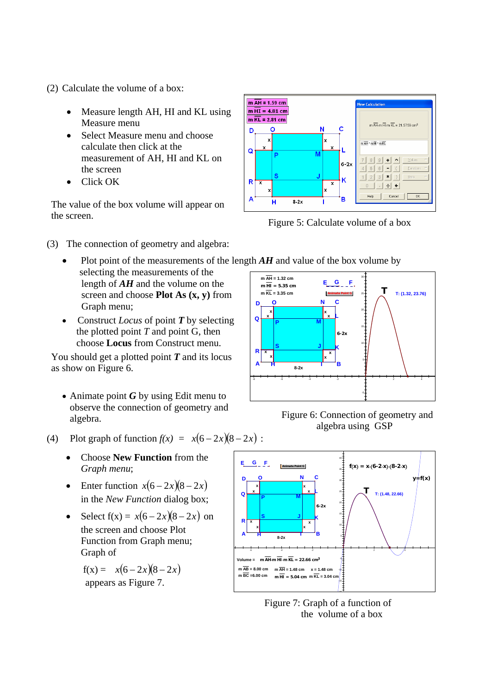(2) Calculate the volume of a box:

- Measure length AH, HI and KL using Measure menu
- Select Measure menu and choose calculate then click at the measurement of AH, HI and KL on the screen
- Click OK

The value of the box volume will appear on the screen.<br>Figure 5: Calculate volume of a box

- (3) The connection of geometry and algebra:
	- Plot point of the measurements of the length *AH* and value of the box volume by selecting the measurements of the length of *AH* and the volume on the screen and choose **Plot As (x, y)** from Graph menu;
	- Construct *Locus* of point *T* by selecting the plotted point *T* and point G, then choose **Locus** from Construct menu.

You should get a plotted point *T* and its locus as show on Figure 6.

• Animate point *G* by using Edit menu to observe the connection of geometry and algebra.





 Figure 6: Connection of geometry and algebra using GSP



- Choose **New Function** from the *Graph menu*;
- Enter function  $x(6-2x)(8-2x)$ in the *New Function* dialog box;
- $\text{Select f}(x) = x(6 2x)(8 2x)$  on the screen and choose Plot Function from Graph menu; Graph of

 $f(x) = x(6 - 2x)(8 - 2x)$ appears as Figure 7.



 Figure 7: Graph of a function of the volume of a box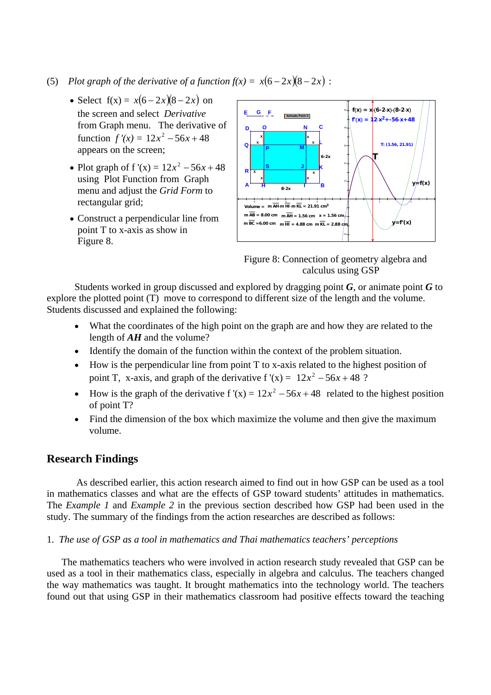- (5) *Plot graph of the derivative of a function*  $f(x) = x(6-2x)(8-2x)$ *:* 
	- Select  $f(x) = x(6 2x)(8 2x)$  on the screen and select *Derivative* from Graph menu. The derivative of function  $f'(x) = 12x^2 - 56x + 48$ appears on the screen;
	- Plot graph of  $f'(x) = 12x^2 56x + 48$ using Plot Function from Graph menu and adjust the *Grid Form* to rectangular grid;
	- Construct a perpendicular line from point T to x-axis as show in Figure 8.



Figure 8: Connection of geometry algebra and calculus using GSP

Students worked in group discussed and explored by dragging point *G*, or animate point *G* to explore the plotted point (T) move to correspond to different size of the length and the volume. Students discussed and explained the following:

- What the coordinates of the high point on the graph are and how they are related to the length of *AH* and the volume?
- Identify the domain of the function within the context of the problem situation.
- How is the perpendicular line from point T to x-axis related to the highest position of point T, x-axis, and graph of the derivative  $f'(x) = 12x^2 - 56x + 48$  ?
- How is the graph of the derivative  $f'(x) = 12x^2 56x + 48$  related to the highest position of point T?
- Find the dimension of the box which maximize the volume and then give the maximum volume.

# **Research Findings**

As described earlier, this action research aimed to find out in how GSP can be used as a tool in mathematics classes and what are the effects of GSP toward students' attitudes in mathematics. The *Example 1* and *Example 2* in the previous section described how GSP had been used in the study. The summary of the findings from the action researches are described as follows:

## 1. *The use of GSP as a tool in mathematics and Thai mathematics teachers' perceptions*

The mathematics teachers who were involved in action research study revealed that GSP can be used as a tool in their mathematics class, especially in algebra and calculus. The teachers changed the way mathematics was taught. It brought mathematics into the technology world. The teachers found out that using GSP in their mathematics classroom had positive effects toward the teaching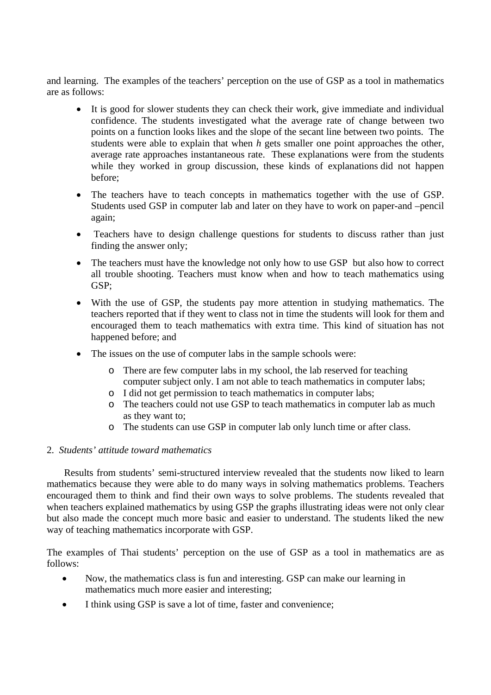and learning. The examples of the teachers' perception on the use of GSP as a tool in mathematics are as follows:

- It is good for slower students they can check their work, give immediate and individual confidence. The students investigated what the average rate of change between two points on a function looks likes and the slope of the secant line between two points. The students were able to explain that when *h* gets smaller one point approaches the other, average rate approaches instantaneous rate. These explanations were from the students while they worked in group discussion, these kinds of explanations did not happen before;
- The teachers have to teach concepts in mathematics together with the use of GSP. Students used GSP in computer lab and later on they have to work on paper-and –pencil again;
- Teachers have to design challenge questions for students to discuss rather than just finding the answer only;
- The teachers must have the knowledge not only how to use GSP but also how to correct all trouble shooting. Teachers must know when and how to teach mathematics using GSP;
- With the use of GSP, the students pay more attention in studying mathematics. The teachers reported that if they went to class not in time the students will look for them and encouraged them to teach mathematics with extra time. This kind of situation has not happened before; and
- The issues on the use of computer labs in the sample schools were:
	- o There are few computer labs in my school, the lab reserved for teaching computer subject only. I am not able to teach mathematics in computer labs;
	- o I did not get permission to teach mathematics in computer labs;
	- o The teachers could not use GSP to teach mathematics in computer lab as much as they want to;
	- o The students can use GSP in computer lab only lunch time or after class.

## 2. *Students' attitude toward mathematics*

Results from students' semi-structured interview revealed that the students now liked to learn mathematics because they were able to do many ways in solving mathematics problems. Teachers encouraged them to think and find their own ways to solve problems. The students revealed that when teachers explained mathematics by using GSP the graphs illustrating ideas were not only clear but also made the concept much more basic and easier to understand. The students liked the new way of teaching mathematics incorporate with GSP.

The examples of Thai students' perception on the use of GSP as a tool in mathematics are as follows:

- Now, the mathematics class is fun and interesting. GSP can make our learning in mathematics much more easier and interesting;
- I think using GSP is save a lot of time, faster and convenience;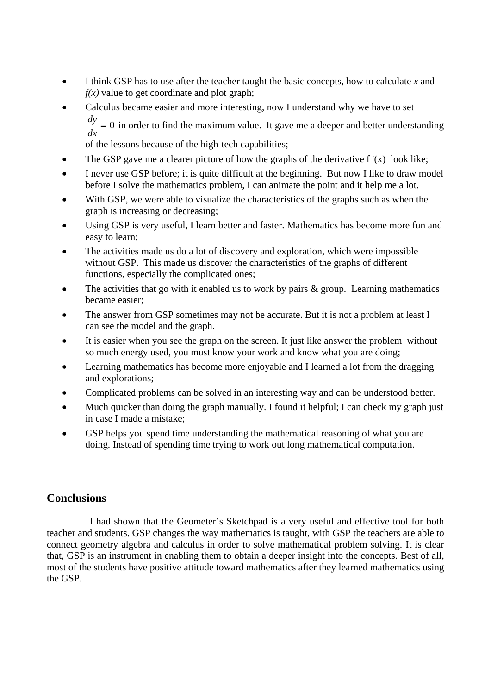- I think GSP has to use after the teacher taught the basic concepts, how to calculate *x* and  $f(x)$  value to get coordinate and plot graph;
- Calculus became easier and more interesting, now I understand why we have to set  $= 0$ *dx*  $\frac{dy}{dx}$  = 0 in order to find the maximum value. It gave me a deeper and better understanding

of the lessons because of the high-tech capabilities;

- The GSP gave me a clearer picture of how the graphs of the derivative  $f'(x)$  look like;
- I never use GSP before; it is quite difficult at the beginning. But now I like to draw model before I solve the mathematics problem, I can animate the point and it help me a lot.
- With GSP, we were able to visualize the characteristics of the graphs such as when the graph is increasing or decreasing;
- Using GSP is very useful, I learn better and faster. Mathematics has become more fun and easy to learn;
- The activities made us do a lot of discovery and exploration, which were impossible without GSP. This made us discover the characteristics of the graphs of different functions, especially the complicated ones;
- The activities that go with it enabled us to work by pairs  $\&$  group. Learning mathematics became easier;
- The answer from GSP sometimes may not be accurate. But it is not a problem at least I can see the model and the graph.
- It is easier when you see the graph on the screen. It just like answer the problem without so much energy used, you must know your work and know what you are doing;
- Learning mathematics has become more enjoyable and I learned a lot from the dragging and explorations;
- Complicated problems can be solved in an interesting way and can be understood better.
- Much quicker than doing the graph manually. I found it helpful; I can check my graph just in case I made a mistake;
- GSP helps you spend time understanding the mathematical reasoning of what you are doing. Instead of spending time trying to work out long mathematical computation.

# **Conclusions**

I had shown that the Geometer's Sketchpad is a very useful and effective tool for both teacher and students. GSP changes the way mathematics is taught, with GSP the teachers are able to connect geometry algebra and calculus in order to solve mathematical problem solving. It is clear that, GSP is an instrument in enabling them to obtain a deeper insight into the concepts. Best of all, most of the students have positive attitude toward mathematics after they learned mathematics using the GSP.